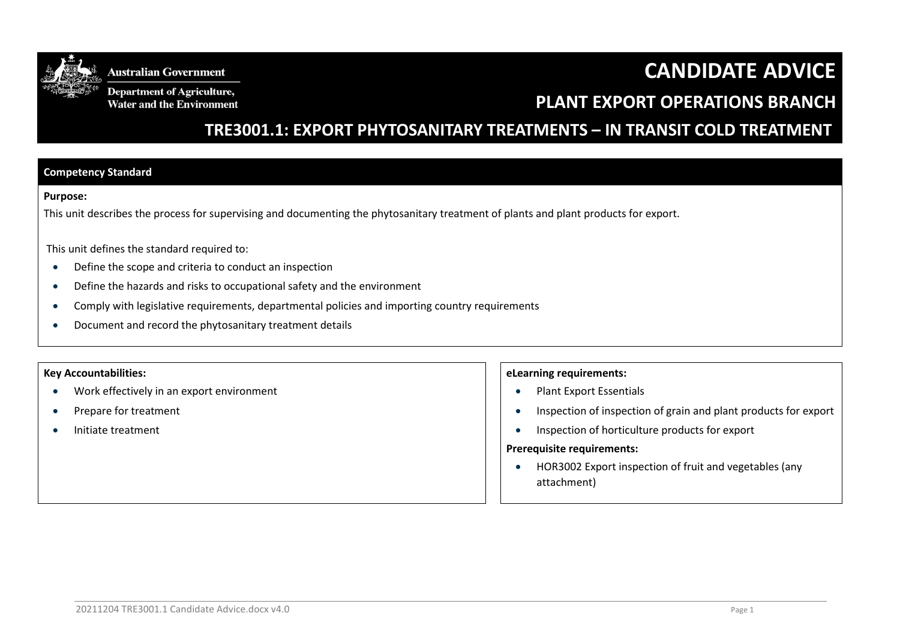

**Department of Agriculture,** Water and the Environment

# **CANDIDATE ADVICE**

## **PLANT EXPORT OPERATIONS BRANCH**

 **TRE3001.1: EXPORT PHYTOSANITARY TREATMENTS – IN TRANSIT COLD TREATMENT**

#### **Competency Standard**

#### **Purpose:**

This unit describes the process for supervising and documenting the phytosanitary treatment of plants and plant products for export.

This unit defines the standard required to:

- Define the scope and criteria to conduct an inspection
- Define the hazards and risks to occupational safety and the environment
- Comply with legislative requirements, departmental policies and importing country requirements
- Document and record the phytosanitary treatment details

#### **Key Accountabilities:**

- Work effectively in an export environment
- Prepare for treatment
- Initiate treatment

#### **eLearning requirements:**

- Plant Export Essentials
- Inspection of inspection of grain and plant products for export
- Inspection of horticulture products for export

#### **Prerequisite requirements:**

 HOR3002 Export inspection of fruit and vegetables (any attachment)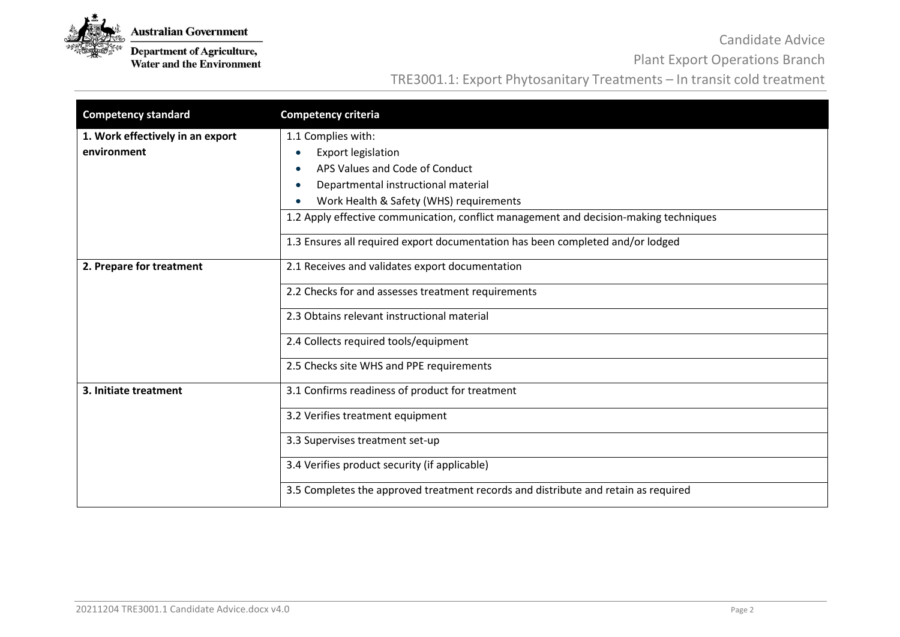

**Department of Agriculture,**<br>Water and the Environment

Candidate Advice

Plant Export Operations Branch

### TRE3001.1: Export Phytosanitary Treatments – In transit cold treatment

| <b>Competency standard</b>       | <b>Competency criteria</b>                                                            |  |  |
|----------------------------------|---------------------------------------------------------------------------------------|--|--|
| 1. Work effectively in an export | 1.1 Complies with:                                                                    |  |  |
| environment                      | <b>Export legislation</b>                                                             |  |  |
|                                  | APS Values and Code of Conduct                                                        |  |  |
|                                  | Departmental instructional material                                                   |  |  |
|                                  | Work Health & Safety (WHS) requirements                                               |  |  |
|                                  | 1.2 Apply effective communication, conflict management and decision-making techniques |  |  |
|                                  | 1.3 Ensures all required export documentation has been completed and/or lodged        |  |  |
| 2. Prepare for treatment         | 2.1 Receives and validates export documentation                                       |  |  |
|                                  | 2.2 Checks for and assesses treatment requirements                                    |  |  |
|                                  | 2.3 Obtains relevant instructional material                                           |  |  |
|                                  | 2.4 Collects required tools/equipment                                                 |  |  |
|                                  | 2.5 Checks site WHS and PPE requirements                                              |  |  |
| 3. Initiate treatment            | 3.1 Confirms readiness of product for treatment                                       |  |  |
|                                  | 3.2 Verifies treatment equipment                                                      |  |  |
|                                  | 3.3 Supervises treatment set-up                                                       |  |  |
|                                  | 3.4 Verifies product security (if applicable)                                         |  |  |
|                                  | 3.5 Completes the approved treatment records and distribute and retain as required    |  |  |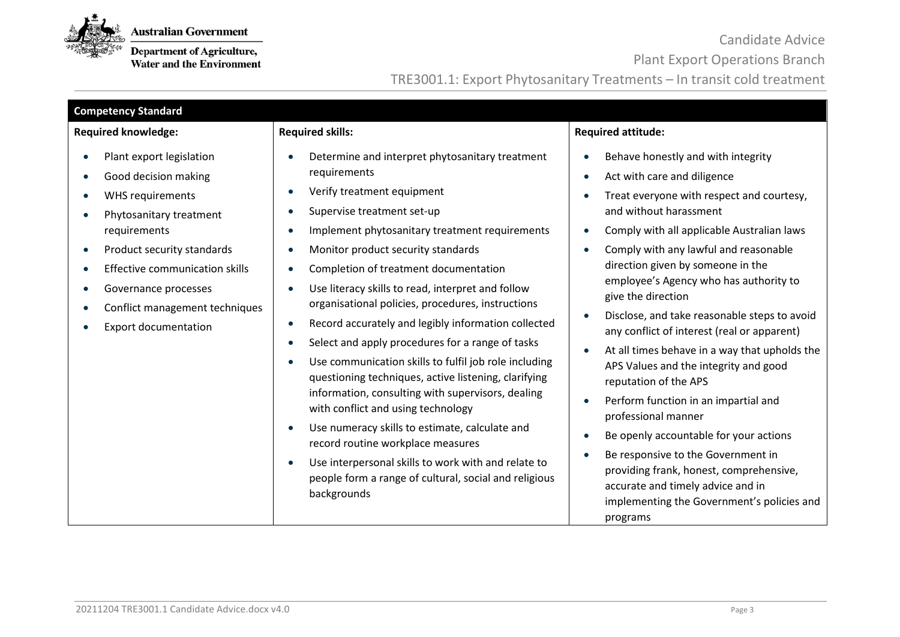

**Department of Agriculture,**<br>Water and the Environment

Candidate Advice

Plant Export Operations Branch

TRE3001.1: Export Phytosanitary Treatments – In transit cold treatment

| <b>Competency Standard</b>                                                                                                                                                                                                                                                                                       |                                                                                                                                                                                                                                                                                                                                                                                                                                                                                                                                                                                                                                                                                                                                                                                                                                                                                                                                                                                                                                                                                 |                                                                                                                                                                                                                                                                                                                                                                                                                                                                                                                                                                                                                                                                                                                                                                                                                                                                                                                       |  |  |  |
|------------------------------------------------------------------------------------------------------------------------------------------------------------------------------------------------------------------------------------------------------------------------------------------------------------------|---------------------------------------------------------------------------------------------------------------------------------------------------------------------------------------------------------------------------------------------------------------------------------------------------------------------------------------------------------------------------------------------------------------------------------------------------------------------------------------------------------------------------------------------------------------------------------------------------------------------------------------------------------------------------------------------------------------------------------------------------------------------------------------------------------------------------------------------------------------------------------------------------------------------------------------------------------------------------------------------------------------------------------------------------------------------------------|-----------------------------------------------------------------------------------------------------------------------------------------------------------------------------------------------------------------------------------------------------------------------------------------------------------------------------------------------------------------------------------------------------------------------------------------------------------------------------------------------------------------------------------------------------------------------------------------------------------------------------------------------------------------------------------------------------------------------------------------------------------------------------------------------------------------------------------------------------------------------------------------------------------------------|--|--|--|
| <b>Required knowledge:</b>                                                                                                                                                                                                                                                                                       | <b>Required skills:</b>                                                                                                                                                                                                                                                                                                                                                                                                                                                                                                                                                                                                                                                                                                                                                                                                                                                                                                                                                                                                                                                         | <b>Required attitude:</b>                                                                                                                                                                                                                                                                                                                                                                                                                                                                                                                                                                                                                                                                                                                                                                                                                                                                                             |  |  |  |
| Plant export legislation<br>Good decision making<br><b>WHS requirements</b><br>Phytosanitary treatment<br>requirements<br>Product security standards<br>$\bullet$<br><b>Effective communication skills</b><br>Governance processes<br>Conflict management techniques<br>$\bullet$<br><b>Export documentation</b> | Determine and interpret phytosanitary treatment<br>$\bullet$<br>requirements<br>Verify treatment equipment<br>$\bullet$<br>Supervise treatment set-up<br>$\bullet$<br>Implement phytosanitary treatment requirements<br>$\bullet$<br>Monitor product security standards<br>$\bullet$<br>Completion of treatment documentation<br>$\bullet$<br>Use literacy skills to read, interpret and follow<br>$\bullet$<br>organisational policies, procedures, instructions<br>Record accurately and legibly information collected<br>$\bullet$<br>Select and apply procedures for a range of tasks<br>$\bullet$<br>Use communication skills to fulfil job role including<br>$\bullet$<br>questioning techniques, active listening, clarifying<br>information, consulting with supervisors, dealing<br>with conflict and using technology<br>Use numeracy skills to estimate, calculate and<br>$\bullet$<br>record routine workplace measures<br>Use interpersonal skills to work with and relate to<br>$\bullet$<br>people form a range of cultural, social and religious<br>backgrounds | Behave honestly and with integrity<br>Act with care and diligence<br>$\bullet$<br>Treat everyone with respect and courtesy,<br>and without harassment<br>Comply with all applicable Australian laws<br>$\bullet$<br>Comply with any lawful and reasonable<br>direction given by someone in the<br>employee's Agency who has authority to<br>give the direction<br>Disclose, and take reasonable steps to avoid<br>٠<br>any conflict of interest (real or apparent)<br>At all times behave in a way that upholds the<br>$\bullet$<br>APS Values and the integrity and good<br>reputation of the APS<br>Perform function in an impartial and<br>$\bullet$<br>professional manner<br>Be openly accountable for your actions<br>$\bullet$<br>Be responsive to the Government in<br>providing frank, honest, comprehensive,<br>accurate and timely advice and in<br>implementing the Government's policies and<br>programs |  |  |  |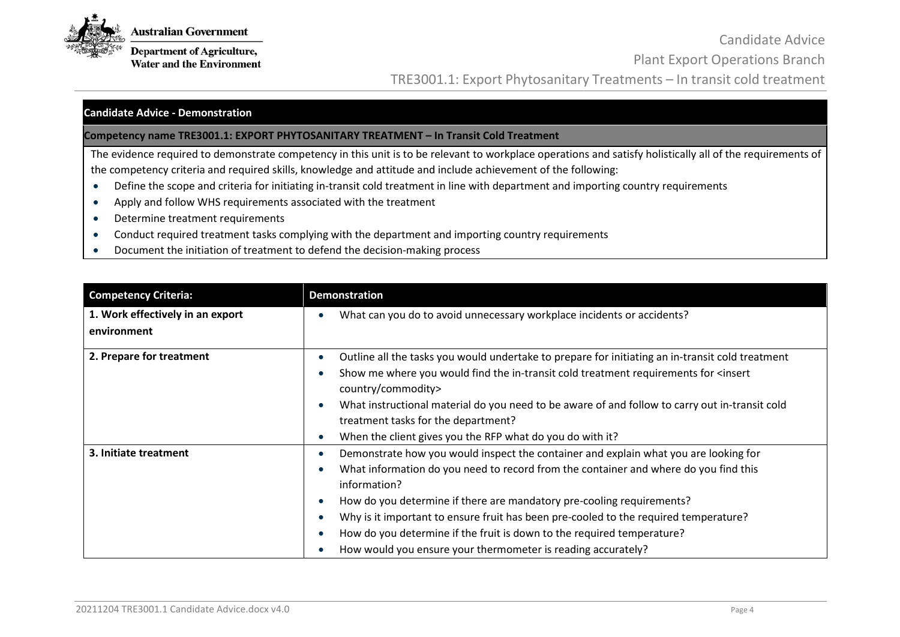

**Department of Agriculture, Water and the Environment** 

Candidate Advice Plant Export Operations Branch TRE3001.1: Export Phytosanitary Treatments – In transit cold treatment

#### **Candidate Advice - Demonstration**

**Competency name TRE3001.1: EXPORT PHYTOSANITARY TREATMENT – In Transit Cold Treatment** 

The evidence required to demonstrate competency in this unit is to be relevant to workplace operations and satisfy holistically all of the requirements of the competency criteria and required skills, knowledge and attitude and include achievement of the following:

- Define the scope and criteria for initiating in-transit cold treatment in line with department and importing country requirements
- Apply and follow WHS requirements associated with the treatment
- Determine treatment requirements
- Conduct required treatment tasks complying with the department and importing country requirements
- Document the initiation of treatment to defend the decision-making process

| <b>Competency Criteria:</b>                     | <b>Demonstration</b>                                                                                                                                                                                                                                                                                                                                                                                                                                                                                    |
|-------------------------------------------------|---------------------------------------------------------------------------------------------------------------------------------------------------------------------------------------------------------------------------------------------------------------------------------------------------------------------------------------------------------------------------------------------------------------------------------------------------------------------------------------------------------|
| 1. Work effectively in an export<br>environment | What can you do to avoid unnecessary workplace incidents or accidents?                                                                                                                                                                                                                                                                                                                                                                                                                                  |
| 2. Prepare for treatment                        | Outline all the tasks you would undertake to prepare for initiating an in-transit cold treatment<br>Show me where you would find the in-transit cold treatment requirements for <insert<br>country/commodity&gt;<br/>What instructional material do you need to be aware of and follow to carry out in-transit cold<br/>treatment tasks for the department?<br/>When the client gives you the RFP what do you do with it?</insert<br>                                                                   |
| 3. Initiate treatment                           | Demonstrate how you would inspect the container and explain what you are looking for<br>What information do you need to record from the container and where do you find this<br>information?<br>How do you determine if there are mandatory pre-cooling requirements?<br>Why is it important to ensure fruit has been pre-cooled to the required temperature?<br>How do you determine if the fruit is down to the required temperature?<br>How would you ensure your thermometer is reading accurately? |